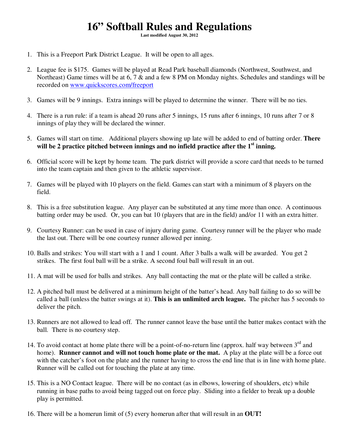## **16" Softball Rules and Regulations**

**Last modified August 30, 2012** 

- 1. This is a Freeport Park District League. It will be open to all ages.
- 2. League fee is \$175. Games will be played at Read Park baseball diamonds (Northwest, Southwest, and Northeast) Game times will be at 6, 7 & and a few 8 PM on Monday nights. Schedules and standings will be recorded on www.quickscores.com/freeport
- 3. Games will be 9 innings. Extra innings will be played to determine the winner. There will be no ties.
- 4. There is a run rule: if a team is ahead 20 runs after 5 innings, 15 runs after 6 innings, 10 runs after 7 or 8 innings of play they will be declared the winner.
- 5. Games will start on time. Additional players showing up late will be added to end of batting order. **There will be 2 practice pitched between innings and no infield practice after the 1st inning.**
- 6. Official score will be kept by home team. The park district will provide a score card that needs to be turned into the team captain and then given to the athletic supervisor.
- 7. Games will be played with 10 players on the field. Games can start with a minimum of 8 players on the field.
- 8. This is a free substitution league. Any player can be substituted at any time more than once. A continuous batting order may be used. Or, you can bat 10 (players that are in the field) and/or 11 with an extra hitter.
- 9. Courtesy Runner: can be used in case of injury during game. Courtesy runner will be the player who made the last out. There will be one courtesy runner allowed per inning.
- 10. Balls and strikes: You will start with a 1 and 1 count. After 3 balls a walk will be awarded. You get 2 strikes. The first foul ball will be a strike. A second foul ball will result in an out.
- 11. A mat will be used for balls and strikes. Any ball contacting the mat or the plate will be called a strike.
- 12. A pitched ball must be delivered at a minimum height of the batter's head. Any ball failing to do so will be called a ball (unless the batter swings at it). **This is an unlimited arch league.** The pitcher has 5 seconds to deliver the pitch.
- 13. Runners are not allowed to lead off. The runner cannot leave the base until the batter makes contact with the ball. There is no courtesy step.
- 14. To avoid contact at home plate there will be a point-of-no-return line (approx. half way between 3<sup>rd</sup> and home). **Runner cannot and will not touch home plate or the mat.** A play at the plate will be a force out with the catcher's foot on the plate and the runner having to cross the end line that is in line with home plate. Runner will be called out for touching the plate at any time.
- 15. This is a NO Contact league. There will be no contact (as in elbows, lowering of shoulders, etc) while running in base paths to avoid being tagged out on force play. Sliding into a fielder to break up a double play is permitted.
- 16. There will be a homerun limit of (5) every homerun after that will result in an **OUT!**